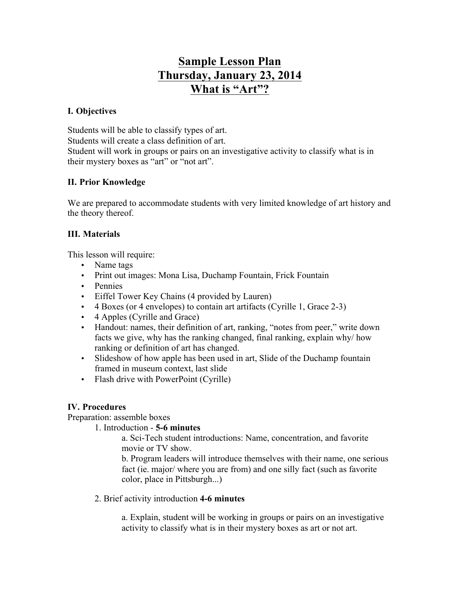# **Sample Lesson Plan Thursday, January 23, 2014 What is "Art"?**

#### **I. Objectives**

Students will be able to classify types of art. Students will create a class definition of art. Student will work in groups or pairs on an investigative activity to classify what is in their mystery boxes as "art" or "not art".

## **II. Prior Knowledge**

We are prepared to accommodate students with very limited knowledge of art history and the theory thereof.

## **III. Materials**

This lesson will require:

- Name tags
- Print out images: Mona Lisa, Duchamp Fountain, Frick Fountain
- Pennies
- Eiffel Tower Key Chains (4 provided by Lauren)
- 4 Boxes (or 4 envelopes) to contain art artifacts (Cyrille 1, Grace 2-3)
- 4 Apples (Cyrille and Grace)
- Handout: names, their definition of art, ranking, "notes from peer," write down facts we give, why has the ranking changed, final ranking, explain why/ how ranking or definition of art has changed.
- Slideshow of how apple has been used in art, Slide of the Duchamp fountain framed in museum context, last slide
- Flash drive with PowerPoint (Cyrille)

# **IV. Procedures**

Preparation: assemble boxes

#### 1. Introduction - **5-6 minutes**

a. Sci-Tech student introductions: Name, concentration, and favorite movie or TV show.

b. Program leaders will introduce themselves with their name, one serious fact (ie. major/ where you are from) and one silly fact (such as favorite color, place in Pittsburgh...)

2. Brief activity introduction **4-6 minutes**

a. Explain, student will be working in groups or pairs on an investigative activity to classify what is in their mystery boxes as art or not art.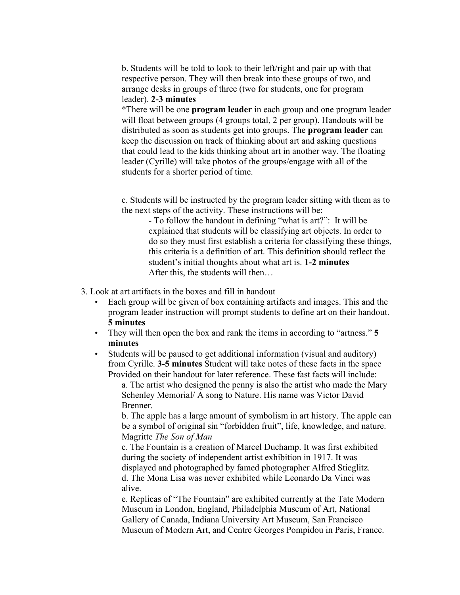b. Students will be told to look to their left/right and pair up with that respective person. They will then break into these groups of two, and arrange desks in groups of three (two for students, one for program leader). **2-3 minutes**

\*There will be one **program leader** in each group and one program leader will float between groups (4 groups total, 2 per group). Handouts will be distributed as soon as students get into groups. The **program leader** can keep the discussion on track of thinking about art and asking questions that could lead to the kids thinking about art in another way. The floating leader (Cyrille) will take photos of the groups/engage with all of the students for a shorter period of time.

c. Students will be instructed by the program leader sitting with them as to the next steps of the activity. These instructions will be:

- To follow the handout in defining "what is art?": It will be explained that students will be classifying art objects. In order to do so they must first establish a criteria for classifying these things, this criteria is a definition of art. This definition should reflect the student's initial thoughts about what art is. **1-2 minutes** After this, the students will then…

3. Look at art artifacts in the boxes and fill in handout

- Each group will be given of box containing artifacts and images. This and the program leader instruction will prompt students to define art on their handout. **5 minutes**
- They will then open the box and rank the items in according to "artness." **5 minutes**
- Students will be paused to get additional information (visual and auditory) from Cyrille. **3-5 minutes** Student will take notes of these facts in the space Provided on their handout for later reference. These fast facts will include:

a. The artist who designed the penny is also the artist who made the Mary Schenley Memorial/ A song to Nature. His name was Victor David Brenner.

b. The apple has a large amount of symbolism in art history. The apple can be a symbol of original sin "forbidden fruit", life, knowledge, and nature. Magritte *The Son of Man*

c. The Fountain is a creation of Marcel Duchamp. It was first exhibited during the society of independent artist exhibition in 1917. It was displayed and photographed by famed photographer Alfred Stieglitz. d. The Mona Lisa was never exhibited while Leonardo Da Vinci was alive.

e. Replicas of "The Fountain" are exhibited currently at the Tate Modern Museum in London, England, Philadelphia Museum of Art, National Gallery of Canada, Indiana University Art Museum, San Francisco Museum of Modern Art, and Centre Georges Pompidou in Paris, France.